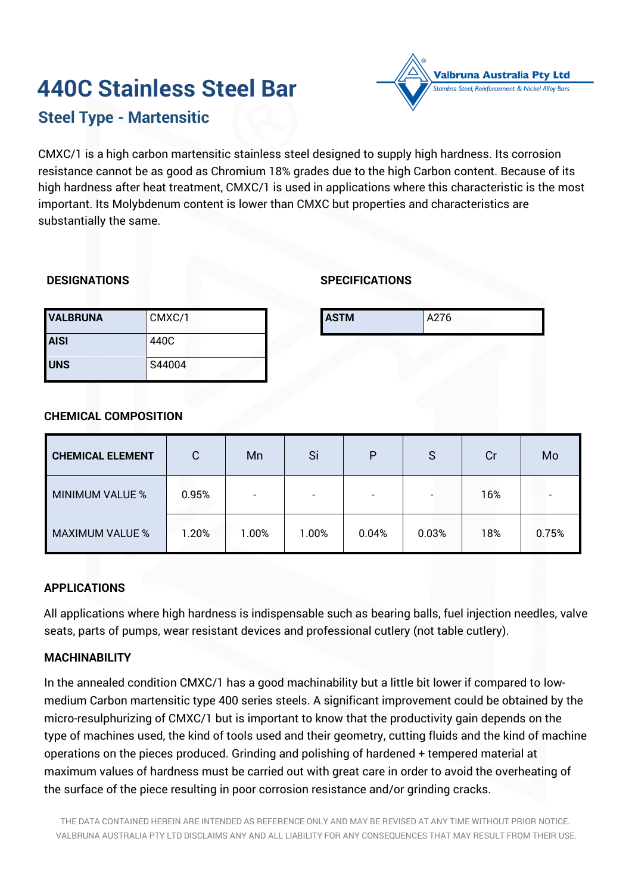# **440C Stainless Steel Bar**



# **Steel Type - Martensitic**

CMXC/1 is a high carbon martensitic stainless steel designed to supply high hardness. Its corrosion resistance cannot be as good as Chromium 18% grades due to the high Carbon content. Because of its high hardness after heat treatment, CMXC/1 is used in applications where this characteristic is the most important. Its Molybdenum content is lower than CMXC but properties and characteristics are substantially the same.

# **DESIGNATIONS**

# **SPECIFICATIONS**

| <b>VALBRUNA</b> | CMXC/1 | <b>ASTM</b> | A276 |
|-----------------|--------|-------------|------|
| <b>AISI</b>     | 440C   |             |      |
| <b>UNS</b>      | S44004 |             |      |

# **CHEMICAL COMPOSITION**

| <b>CHEMICAL ELEMENT</b> | $\mathsf{C}$ | Mn                       | Si                       | P     | S     | Cr  | Mo    |
|-------------------------|--------------|--------------------------|--------------------------|-------|-------|-----|-------|
| <b>MINIMUM VALUE %</b>  | 0.95%        | $\overline{\phantom{0}}$ | $\overline{\phantom{0}}$ |       |       | 16% |       |
| <b>MAXIMUM VALUE %</b>  | 1.20%        | $1.00\%$                 | $1.00\%$                 | 0.04% | 0.03% | 18% | 0.75% |

# **APPLICATIONS**

All applications where high hardness is indispensable such as bearing balls, fuel injection needles, valve seats, parts of pumps, wear resistant devices and professional cutlery (not table cutlery).

#### **MACHINABILITY**

In the annealed condition CMXC/1 has a good machinability but a little bit lower if compared to lowmedium Carbon martensitic type 400 series steels. A significant improvement could be obtained by the micro-resulphurizing of CMXC/1 but is important to know that the productivity gain depends on the type of machines used, the kind of tools used and their geometry, cutting fluids and the kind of machine operations on the pieces produced. Grinding and polishing of hardened + tempered material at maximum values of hardness must be carried out with great care in order to avoid the overheating of the surface of the piece resulting in poor corrosion resistance and/or grinding cracks.